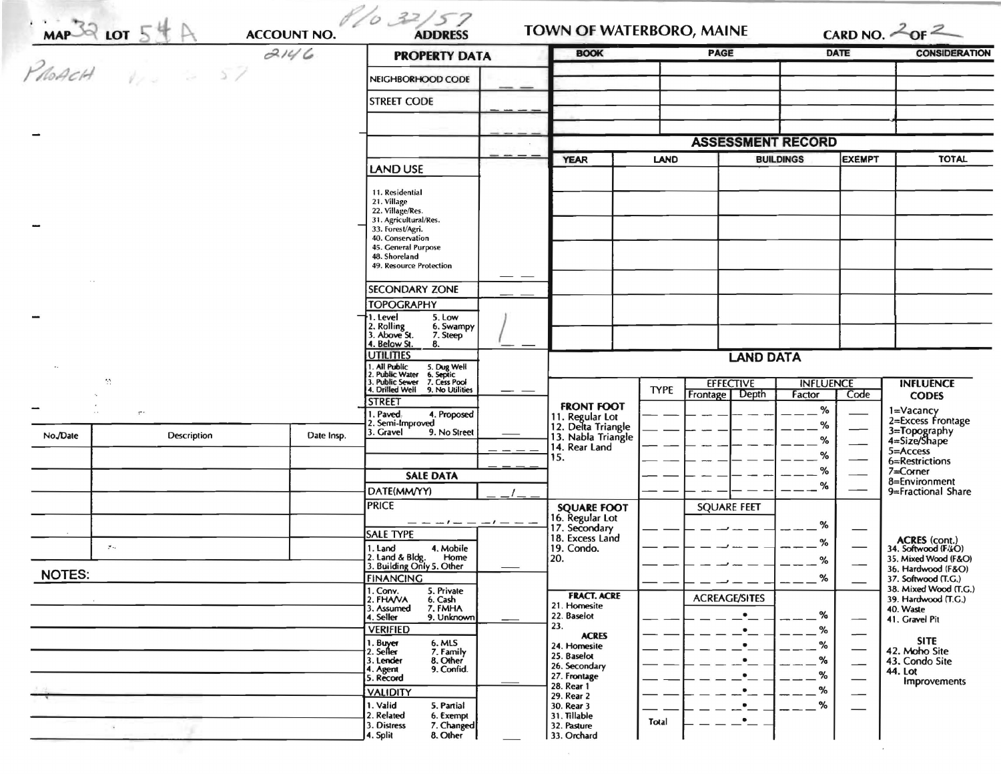|          |                                                                                                                                                                                                                                                                                                                                                                                      | 2146       | <b>PROPERTY DATA</b>                                                                                                                                        |  | <b>BOOK</b>                                                                  |             | <b>PAGE</b>              | <b>DATE</b>      |                                  | <b>CONSIDERATION</b>                                                             |
|----------|--------------------------------------------------------------------------------------------------------------------------------------------------------------------------------------------------------------------------------------------------------------------------------------------------------------------------------------------------------------------------------------|------------|-------------------------------------------------------------------------------------------------------------------------------------------------------------|--|------------------------------------------------------------------------------|-------------|--------------------------|------------------|----------------------------------|----------------------------------------------------------------------------------|
|          | $\frac{1}{\frac{1}{\sqrt{100}}\frac{1}{\sqrt{100}}}\frac{1}{\sqrt{100}}\frac{5}{4}\frac{4}{\sqrt{100}}\frac{1}{\sqrt{100}}\frac{1}{\sqrt{100}}\frac{1}{\sqrt{100}}\frac{1}{\sqrt{100}}\frac{1}{\sqrt{100}}\frac{1}{\sqrt{100}}\frac{1}{\sqrt{100}}\frac{1}{\sqrt{100}}\frac{1}{\sqrt{100}}\frac{1}{\sqrt{100}}\frac{1}{\sqrt{100}}\frac{1}{\sqrt{100}}\frac{1}{\sqrt{100}}\frac{1}{$ |            | NEIGHBORHOOD CODE                                                                                                                                           |  |                                                                              |             |                          |                  |                                  |                                                                                  |
|          |                                                                                                                                                                                                                                                                                                                                                                                      |            | <b>STREET CODE</b>                                                                                                                                          |  |                                                                              |             |                          |                  |                                  |                                                                                  |
|          |                                                                                                                                                                                                                                                                                                                                                                                      |            |                                                                                                                                                             |  |                                                                              |             |                          |                  |                                  |                                                                                  |
|          |                                                                                                                                                                                                                                                                                                                                                                                      |            |                                                                                                                                                             |  |                                                                              |             | <b>ASSESSMENT RECORD</b> |                  |                                  |                                                                                  |
|          |                                                                                                                                                                                                                                                                                                                                                                                      |            | LAND USE                                                                                                                                                    |  | <b>YEAR</b>                                                                  | LAND        |                          | <b>BUILDINGS</b> | <b>EXEMPT</b>                    | <b>TOTAL</b>                                                                     |
|          |                                                                                                                                                                                                                                                                                                                                                                                      |            | 11. Residential<br>21. Village<br>22. Village/Res.<br>31. Agricultural/Res.<br>33. Forest/Agri.<br>40. Conservation<br>45. General Purpose<br>48. Shoreland |  |                                                                              |             |                          |                  |                                  |                                                                                  |
|          |                                                                                                                                                                                                                                                                                                                                                                                      |            | 49. Resource Protection                                                                                                                                     |  |                                                                              |             |                          |                  |                                  |                                                                                  |
|          |                                                                                                                                                                                                                                                                                                                                                                                      |            | SECONDARY ZONE                                                                                                                                              |  |                                                                              |             |                          |                  |                                  |                                                                                  |
|          |                                                                                                                                                                                                                                                                                                                                                                                      |            | <b>TOPOGRAPHY</b><br>5. Low<br>1. Level                                                                                                                     |  |                                                                              |             |                          |                  |                                  |                                                                                  |
|          |                                                                                                                                                                                                                                                                                                                                                                                      |            | 2. Rolling<br>3. Above St.<br>6. Swampy<br>7. Steep<br>4. Below St.<br>8.                                                                                   |  |                                                                              |             |                          |                  |                                  |                                                                                  |
|          |                                                                                                                                                                                                                                                                                                                                                                                      |            | <b>UTILITIES</b><br>. All Public                                                                                                                            |  | <b>LAND DATA</b>                                                             |             |                          |                  |                                  |                                                                                  |
|          | M                                                                                                                                                                                                                                                                                                                                                                                    |            | . All Public 5. Dug Well<br>Public Water 6. Septic<br>J. Public Sewer 7. Cess Pool<br>4. Drilled Well<br>9. No Utilities                                    |  |                                                                              | <b>TYPE</b> | <b>EFFECTIVE</b>         | <b>INFLUENCE</b> |                                  | <b>INFLUENCE</b>                                                                 |
|          | $\tau^*$                                                                                                                                                                                                                                                                                                                                                                             |            | <b>STREET</b>                                                                                                                                               |  | <b>FRONT FOOT</b>                                                            |             | Frontage   Depth         | Factor<br>%      | Code                             | <b>CODES</b>                                                                     |
| No./Date | Description                                                                                                                                                                                                                                                                                                                                                                          | Date Insp. | . Paved.<br>4. Proposed<br>2. Semi-Improved<br>3. Gravel<br>9. No Street                                                                                    |  | 11. Regular Lot<br>12. Delta Triangle<br>13. Nabla Triangle                  |             |                          | %<br>%           |                                  | 1=Vacancy<br>2=Excess Frontage<br>3=Topography<br>4=Size/Shape                   |
|          |                                                                                                                                                                                                                                                                                                                                                                                      |            |                                                                                                                                                             |  | 14. Rear Land<br>15.                                                         |             |                          | %                |                                  | 5=Access<br>6=Restrictions                                                       |
|          |                                                                                                                                                                                                                                                                                                                                                                                      |            | <b>SALE DATA</b>                                                                                                                                            |  |                                                                              |             |                          | ℅                |                                  | $7 =$ Corner<br>8=Environment                                                    |
|          |                                                                                                                                                                                                                                                                                                                                                                                      |            | DATE(MM/YY)                                                                                                                                                 |  |                                                                              |             |                          | ℅                |                                  | 9=Fractional Share                                                               |
|          |                                                                                                                                                                                                                                                                                                                                                                                      |            | <b>PRICE</b><br>— — — ! — — — ! — —                                                                                                                         |  | <b>SQUARE FOOT</b>                                                           |             | <b>SQUARE FEET</b>       | %                |                                  |                                                                                  |
|          |                                                                                                                                                                                                                                                                                                                                                                                      |            | <b>SALE TYPE</b>                                                                                                                                            |  | 16. Regular Lot<br>17. Secondary<br>18. Excess Land                          |             |                          | %                |                                  | ACRES (cont.)<br>34. Softwood (F/kO)                                             |
|          | $\mathcal{P} \sim$                                                                                                                                                                                                                                                                                                                                                                   |            | 1. Land<br>4. Mobile<br>2. Land & Bldg.<br>Home<br>3. Building Only 5. Other                                                                                |  | 19. Condo.<br>120.                                                           |             |                          | %                |                                  | 35. Mixed Wood (F&O)                                                             |
| NOTES:   |                                                                                                                                                                                                                                                                                                                                                                                      |            | <b>FINANCING</b>                                                                                                                                            |  |                                                                              |             |                          | %                |                                  | 36. Hardwood (F&O)<br>37. Softwood (T.G.)                                        |
|          |                                                                                                                                                                                                                                                                                                                                                                                      |            | 1. Conv.<br>5. Private<br>2. FHAVA<br>6. Cash<br>7. FMHA<br>3. Assumed<br>9. Unknown<br>4. Seller                                                           |  | <b>FRACT. ACRE</b><br>21. Homesite<br>22. Baselot<br>23.                     |             | <b>ACREAGE/SITES</b>     | %                |                                  | 38. Mixed Wood (T.G.)<br>39. Hardwood (T.G.)<br>40. Waste<br>41. Gravel Pit      |
|          |                                                                                                                                                                                                                                                                                                                                                                                      |            | <b>VERIFIED</b><br>6. MLS<br>1. Buyer<br>2. Seller<br>7. Family<br>3. Lender<br>8. Other<br>9. Confid.<br>4. Agent<br>5. Record                             |  | <b>ACRES</b><br>24. Homesite<br>25. Baselot<br>26. Secondary<br>27. Frontage |             |                          | %<br>%<br>%<br>% | $\overbrace{\hspace{15em}}$<br>- | <b>SITE</b><br>42. Moho Site<br>43. Condo Site<br>44. Lot<br><b>Improvements</b> |
|          |                                                                                                                                                                                                                                                                                                                                                                                      |            | <b>VALIDITY</b><br>1. Valid<br>5. Partial<br>2. Related<br>6. Exempt                                                                                        |  | 28. Rear 1<br>29. Rear 2<br>30. Rear 3<br>31. Tillable                       |             |                          | %<br>%           |                                  |                                                                                  |